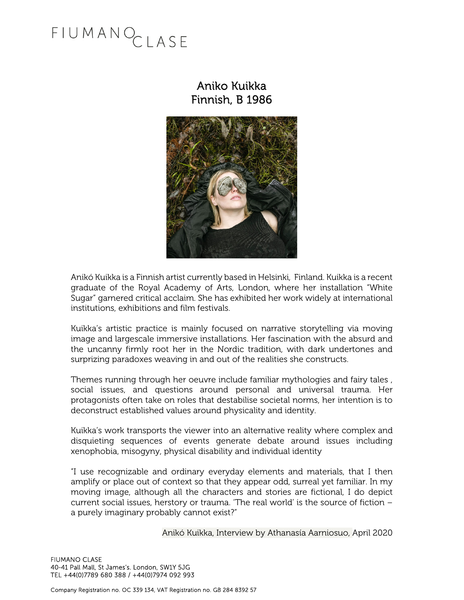## FIUMANOCLASE

### Aniko Kuikka Finnish, B 1986



Anikó Kuikka is a Finnish artist currently based in Helsinki, Finland. Kuikka is a recent graduate of the Royal Academy of Arts, London, where her installation "White Sugar" garnered critical acclaim. She has exhibited her work widely at international institutions, exhibitions and film festivals.

Kuikka's artistic practice is mainly focused on narrative storytelling via moving image and largescale immersive installations. Her fascination with the absurd and the uncanny firmly root her in the Nordic tradition, with dark undertones and surprizing paradoxes weaving in and out of the realities she constructs.

Themes running through her oeuvre include familiar mythologies and fairy tales , social issues, and questions around personal and universal trauma. Her protagonists often take on roles that destabilise societal norms, her intention is to deconstruct established values around physicality and identity.

Kuikka's work transports the viewer into an alternative reality where complex and disquieting sequences of events generate debate around issues including xenophobia, misogyny, physical disability and individual identity

"I use recognizable and ordinary everyday elements and materials, that I then amplify or place out of context so that they appear odd, surreal yet familiar. In my moving image, although all the characters and stories are fictional, I do depict current social issues, herstory or trauma. 'The real world' is the source of fiction – a purely imaginary probably cannot exist?"

Anikó Kuikka, Interview by Athanasía Aarniosuo, April 2020

FIUMANO CLASE 40-41 Pall Mall, St James's. London, SW1Y 5JG TEL +44(0)7789 680 388 / +44(0)7974 092 993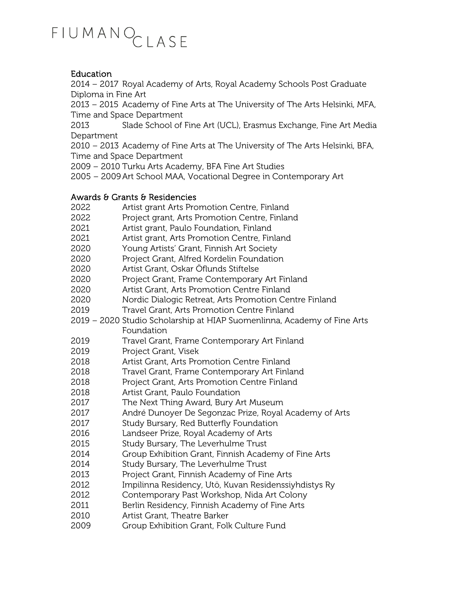# FIUMANOCLASE

#### Education

2014 – 2017 Royal Academy of Arts, Royal Academy Schools Post Graduate Diploma in Fine Art

2013 – 2015 Academy of Fine Arts at The University of The Arts Helsinki, MFA, Time and Space Department

2013 Slade School of Fine Art (UCL), Erasmus Exchange, Fine Art Media Department

2010 – 2013 Academy of Fine Arts at The University of The Arts Helsinki, BFA, Time and Space Department

2009 – 2010 Turku Arts Academy, BFA Fine Art Studies

2005 – 2009 Art School MAA, Vocational Degree in Contemporary Art

#### Awards & Grants & Residencies

- 2022 Artist grant Arts Promotion Centre, Finland
- 2022 Project grant, Arts Promotion Centre, Finland
- 2021 Artist grant, Paulo Foundation, Finland
- 2021 Artist grant, Arts Promotion Centre, Finland
- 2020 Young Artists' Grant, Finnish Art Society
- 2020 Project Grant, Alfred Kordelin Foundation
- 2020 Artist Grant, Oskar Öflunds Stiftelse
- 2020 Project Grant, Frame Contemporary Art Finland
- 2020 Artist Grant, Arts Promotion Centre Finland
- 2020 Nordic Dialogic Retreat, Arts Promotion Centre Finland
- 2019 Travel Grant, Arts Promotion Centre Finland
- 2019 2020 Studio Scholarship at HIAP Suomenlinna, Academy of Fine Arts Foundation
- 2019 Travel Grant, Frame Contemporary Art Finland
- 2019 Project Grant, Visek
- 2018 Artist Grant, Arts Promotion Centre Finland
- 2018 Travel Grant, Frame Contemporary Art Finland
- 2018 Project Grant, Arts Promotion Centre Finland
- 2018 Artist Grant, Paulo Foundation
- 2017 The Next Thing Award, Bury Art Museum
- 2017 André Dunoyer De Segonzac Prize, Royal Academy of Arts
- 2017 Study Bursary, Red Butterfly Foundation
- 2016 Landseer Prize, Royal Academy of Arts
- 2015 Study Bursary, The Leverhulme Trust
- 2014 Group Exhibition Grant, Finnish Academy of Fine Arts
- 2014 Study Bursary, The Leverhulme Trust
- 2013 Project Grant, Finnish Academy of Fine Arts
- 2012 Impilinna Residency, Utö, Kuvan Residenssiyhdistys Ry
- 2012 Contemporary Past Workshop, Nida Art Colony
- 2011 Berlin Residency, Finnish Academy of Fine Arts
- 2010 Artist Grant, Theatre Barker
- 2009 Group Exhibition Grant, Folk Culture Fund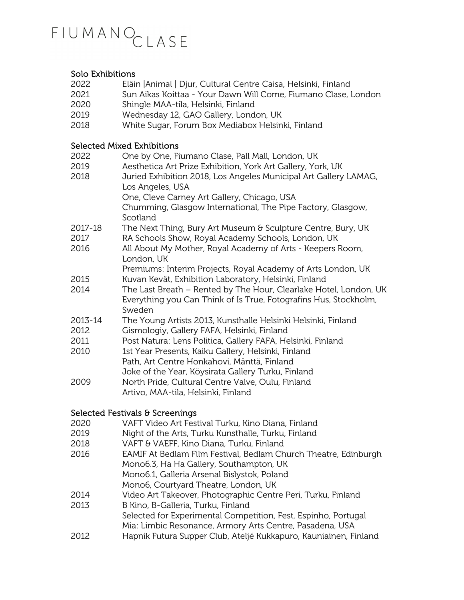### FIUMANOCLASE

#### Solo Exhibitions

- 2022 Eläin |Animal | Djur, Cultural Centre Caisa, Helsinki, Finland
- 2021 Sun Aikas Koittaa Your Dawn Will Come, Fiumano Clase, London
- 2020 Shingle MAA-tila, Helsinki, Finland
- 2019 Wednesday 12, GAO Gallery, London, UK
- 2018 White Sugar, Forum Box Mediabox Helsinki, Finland

#### Selected Mixed Exhibitions

2022 One by One, Fiumano Clase, Pall Mall, London, UK 2019 Aesthetica Art Prize Exhibition, York Art Gallery, York, UK 2018 Juried Exhibition 2018, Los Angeles Municipal Art Gallery LAMAG, Los Angeles, USA One, Cleve Carney Art Gallery, Chicago, USA Chumming, Glasgow International, The Pipe Factory, Glasgow, **Scotland** 2017-18 The Next Thing, Bury Art Museum & Sculpture Centre, Bury, UK 2017 RA Schools Show, Royal Academy Schools, London, UK 2016 All About My Mother, Royal Academy of Arts - Keepers Room, London, UK Premiums: Interim Projects, Royal Academy of Arts London, UK 2015 Kuvan Kevät, Exhibition Laboratory, Helsinki, Finland 2014 The Last Breath – Rented by The Hour, Clearlake Hotel, London, UK Everything you Can Think of Is True, Fotografins Hus, Stockholm, Sweden 2013-14 The Young Artists 2013, Kunsthalle Helsinki Helsinki, Finland 2012 Gismologiy, Gallery FAFA, Helsinki, Finland 2011 Post Natura: Lens Politica, Gallery FAFA, Helsinki, Finland 2010 1st Year Presents, Kaiku Gallery, Helsinki, Finland Path, Art Centre Honkahovi, Mänttä, Finland Joke of the Year, Köysirata Gallery Turku, Finland 2009 North Pride, Cultural Centre Valve, Oulu, Finland Artivo, MAA-tila, Helsinki, Finland

#### Selected Festivals & Screenings

| 2020 | VAFT Video Art Festival Turku, Kino Diana, Finland               |
|------|------------------------------------------------------------------|
| 2019 | Night of the Arts, Turku Kunsthalle, Turku, Finland              |
| 2018 | VAFT & VAEFF, Kino Diana, Turku, Finland                         |
| 2016 | EAMIF At Bedlam Film Festival, Bedlam Church Theatre, Edinburgh  |
|      | Mono6.3, Ha Ha Gallery, Southampton, UK                          |
|      | Mono6.1, Galleria Arsenal Bislystok, Poland                      |
|      | Mono6, Courtyard Theatre, London, UK                             |
| 2014 | Video Art Takeover, Photographic Centre Peri, Turku, Finland     |
| 2013 | B Kino, B-Galleria, Turku, Finland                               |
|      | Selected for Experimental Competition, Fest, Espinho, Portugal   |
|      | Mia: Limbic Resonance, Armory Arts Centre, Pasadena, USA         |
| 2012 | Hannik Futura Sunner Club, Atelié Kukkanuro, Kauniainen, Finland |

2012 Hapnik Futura Supper Club, Ateljé Kukkapuro, Kauniainen, Finland